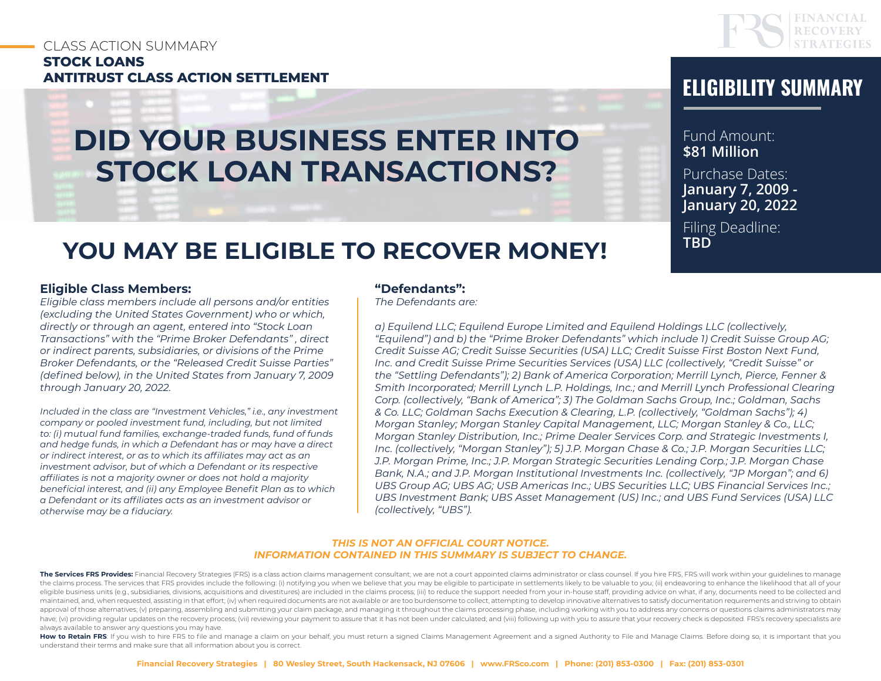# CLASS ACTION SUMMARY **STOCK LOANS ANTITRUST CLASS ACTION SETTLEMENT ELIGIBILITY SUMMARY**



# Fund Amount: **\$81 Million** Purchase Dates: **January 7, 2009 - January 20, 2022**

Filing Deadline: **TBD**

# **YOU MAY BE ELIGIBLE TO RECOVER MONEY!**

**DID YOUR BUSINESS ENTER INTO** 

**STOCK LOAN TRANSACTIONS?**

#### **Eligible Class Members:**

*Eligible class members include all persons and/or entities (excluding the United States Government) who or which, directly or through an agent, entered into "Stock Loan Transactions" with the "Prime Broker Defendants" , direct or indirect parents, subsidiaries, or divisions of the Prime Broker Defendants, or the "Released Credit Suisse Parties" (defined below), in the United States from January 7, 2009 through January 20, 2022.* 

*Included in the class are "Investment Vehicles," i.e., any investment company or pooled investment fund, including, but not limited to: (i) mutual fund families, exchange-traded funds, fund of funds and hedge funds, in which a Defendant has or may have a direct or indirect interest, or as to which its affiliates may act as an investment advisor, but of which a Defendant or its respective affiliates is not a majority owner or does not hold a majority beneficial interest, and (ii) any Employee Benefit Plan as to which a Defendant or its affiliates acts as an investment advisor or otherwise may be a fiduciary.*

#### **"Defendants":**

*The Defendants are:*

*a) Equilend LLC; Equilend Europe Limited and Equilend Holdings LLC (collectively, "Equilend") and b) the "Prime Broker Defendants" which include 1) Credit Suisse Group AG; Credit Suisse AG; Credit Suisse Securities (USA) LLC; Credit Suisse First Boston Next Fund, Inc. and Credit Suisse Prime Securities Services (USA) LLC (collectively, "Credit Suisse" or the "Settling Defendants"); 2) Bank of America Corporation; Merrill Lynch, Pierce, Fenner & Smith Incorporated; Merrill Lynch L.P. Holdings, Inc.; and Merrill Lynch Professional Clearing Corp. (collectively, "Bank of America"; 3) The Goldman Sachs Group, Inc.; Goldman, Sachs & Co. LLC; Goldman Sachs Execution & Clearing, L.P. (collectively, "Goldman Sachs"); 4) Morgan Stanley; Morgan Stanley Capital Management, LLC; Morgan Stanley & Co., LLC; Morgan Stanley Distribution, Inc.; Prime Dealer Services Corp. and Strategic Investments I, Inc. (collectively, "Morgan Stanley"); 5) J.P. Morgan Chase & Co.; J.P. Morgan Securities LLC; J.P. Morgan Prime, Inc.; J.P. Morgan Strategic Securities Lending Corp.; J.P. Morgan Chase Bank, N.A.; and J.P. Morgan Institutional Investments Inc. (collectively, "JP Morgan"; and 6) UBS Group AG; UBS AG; USB Americas Inc.; UBS Securities LLC; UBS Financial Services Inc.; UBS Investment Bank; UBS Asset Management (US) Inc.; and UBS Fund Services (USA) LLC (collectively, "UBS").* 

#### *THIS IS NOT AN OFFICIAL COURT NOTICE. INFORMATION CONTAINED IN THIS SUMMARY IS SUBJECT TO CHANGE.*

The Services FRS Provides: Financial Recovery Strategies (FRS) is a class action claims management consultant; we are not a court appointed claims administrator or class counsel. If you hire FRS, FRS will work within your the claims process. The services that FRS provides include the following: (i) notifying you when we believe that you may be eligible to participate in settlements likely to be valuable to you; (ii) endeavoring to enhance t eligible business units (e.g., subsidiaries, divisions, acquisitions and divestitures) are included in the claims process; (iii) to reduce the support needed from your in-house staff, providing advice on what, if any, docu maintained, and, when requested, assisting in that effort; (iv) when required documents are not available or are too burdensome to collect, attempting to develop innovative alternatives to satisfy documentation requirement approval of those alternatives; (v) preparing, assembling and submitting your claim package, and managing it throughout the claims processing phase, including working with you to address any concerns or questions claims ad have; (vi) providing regular updates on the recovery process; (vii) reviewing your payment to assure that it has not been under calculated; and (viii) following up with you to assure that your recovery check is deposited. always available to answer any questions you may have.

How to Retain FRS: If you wish to hire FRS to file and manage a claim on your behalf, you must return a signed Claims Management Agreement and a signed Authority to File and Manage Claims. Before doing so, it is important understand their terms and make sure that all information about you is correct.